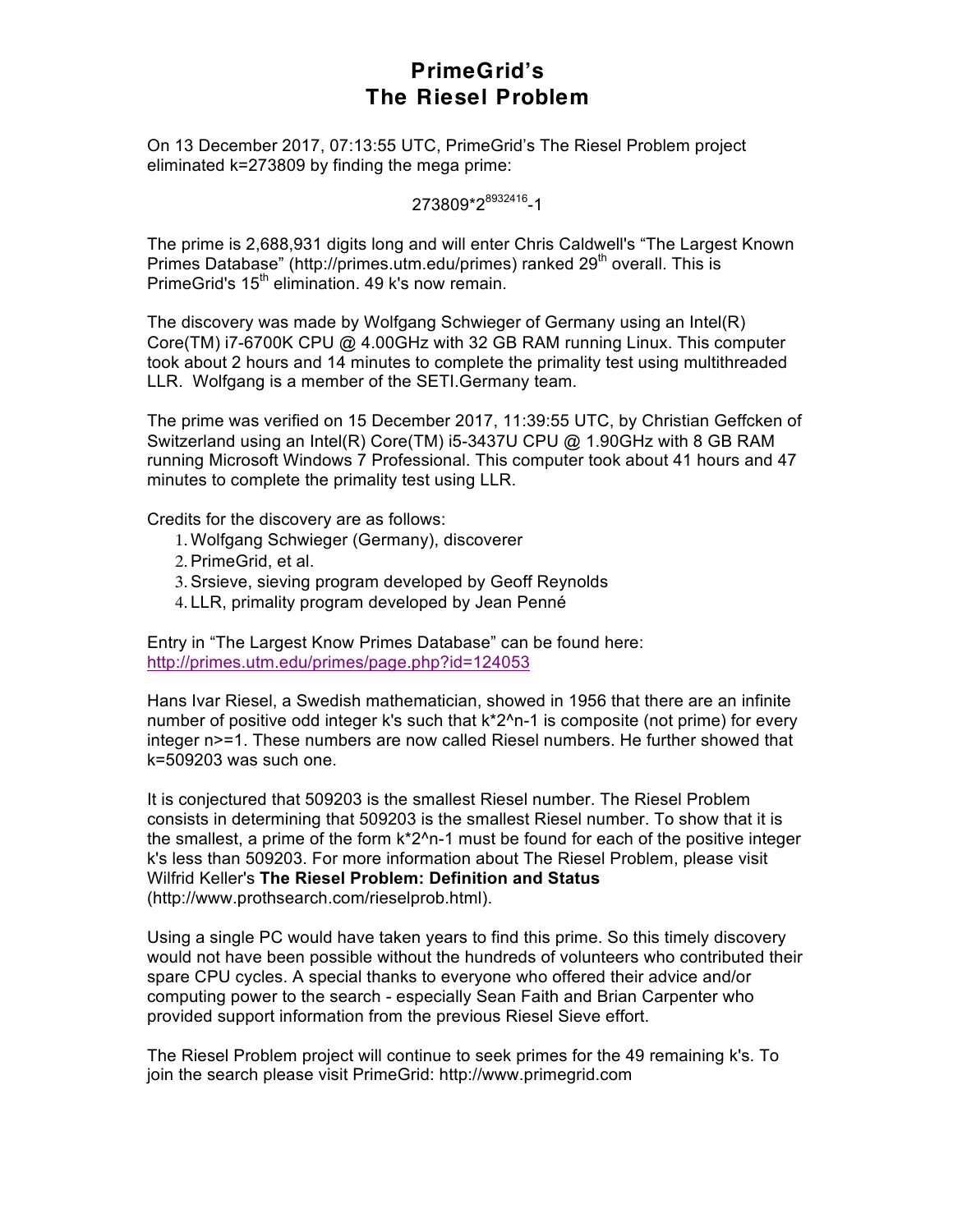## **PrimeGrid's The Riesel Problem**

On 13 December 2017, 07:13:55 UTC, PrimeGrid's The Riesel Problem project eliminated k=273809 by finding the mega prime:

273809\*2<sup>8932416</sup>-1

The prime is 2,688,931 digits long and will enter Chris Caldwell's "The Largest Known Primes Database" (http://primes.utm.edu/primes) ranked 29<sup>th</sup> overall. This is PrimeGrid's 15<sup>th</sup> elimination. 49 k's now remain.

The discovery was made by Wolfgang Schwieger of Germany using an Intel(R) Core(TM) i7-6700K CPU @ 4.00GHz with 32 GB RAM running Linux. This computer took about 2 hours and 14 minutes to complete the primality test using multithreaded LLR. Wolfgang is a member of the SETI.Germany team.

The prime was verified on 15 December 2017, 11:39:55 UTC, by Christian Geffcken of Switzerland using an Intel(R) Core(TM) i5-3437U CPU @ 1.90GHz with 8 GB RAM running Microsoft Windows 7 Professional. This computer took about 41 hours and 47 minutes to complete the primality test using LLR.

Credits for the discovery are as follows:

- 1. Wolfgang Schwieger (Germany), discoverer
- 2.PrimeGrid, et al.
- 3.Srsieve, sieving program developed by Geoff Reynolds
- 4. LLR, primality program developed by Jean Penné

Entry in "The Largest Know Primes Database" can be found here: http://primes.utm.edu/primes/page.php?id=124053

Hans Ivar Riesel, a Swedish mathematician, showed in 1956 that there are an infinite number of positive odd integer k's such that  $k^2$ <sup>n-1</sup> is composite (not prime) for every integer n>=1. These numbers are now called Riesel numbers. He further showed that k=509203 was such one.

It is conjectured that 509203 is the smallest Riesel number. The Riesel Problem consists in determining that 509203 is the smallest Riesel number. To show that it is the smallest, a prime of the form k\*2^n-1 must be found for each of the positive integer k's less than 509203. For more information about The Riesel Problem, please visit Wilfrid Keller's **The Riesel Problem: Definition and Status** (http://www.prothsearch.com/rieselprob.html).

Using a single PC would have taken years to find this prime. So this timely discovery would not have been possible without the hundreds of volunteers who contributed their spare CPU cycles. A special thanks to everyone who offered their advice and/or computing power to the search - especially Sean Faith and Brian Carpenter who provided support information from the previous Riesel Sieve effort.

The Riesel Problem project will continue to seek primes for the 49 remaining k's. To join the search please visit PrimeGrid: http://www.primegrid.com